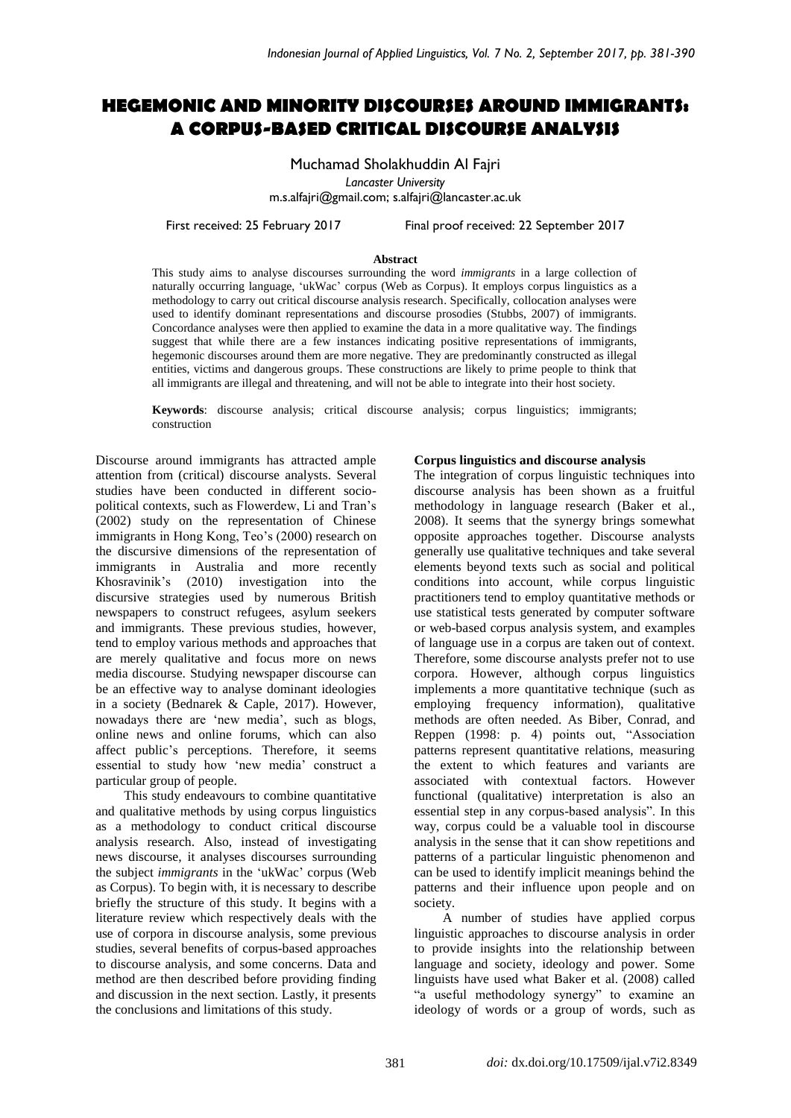# **HEGEMONIC AND MINORITY DISCOURSES AROUND IMMIGRANTS: A CORPUS-BASED CRITICAL DISCOURSE ANALYSIS**

Muchamad Sholakhuddin Al Fajri *Lancaster University* m.s.alfajri@gmail.com; s.alfajri@lancaster.ac.uk

First received: 25 February 2017 Final proof received: 22 September 2017

#### **Abstract**

This study aims to analyse discourses surrounding the word *immigrants* in a large collection of naturally occurring language, 'ukWac' corpus (Web as Corpus). It employs corpus linguistics as a methodology to carry out critical discourse analysis research. Specifically, collocation analyses were used to identify dominant representations and discourse prosodies (Stubbs, 2007) of immigrants. Concordance analyses were then applied to examine the data in a more qualitative way. The findings suggest that while there are a few instances indicating positive representations of immigrants, hegemonic discourses around them are more negative. They are predominantly constructed as illegal entities, victims and dangerous groups. These constructions are likely to prime people to think that all immigrants are illegal and threatening, and will not be able to integrate into their host society.

**Keywords**: discourse analysis; critical discourse analysis; corpus linguistics; immigrants; construction

Discourse around immigrants has attracted ample attention from (critical) discourse analysts. Several studies have been conducted in different sociopolitical contexts, such as Flowerdew, Li and Tran's (2002) study on the representation of Chinese immigrants in Hong Kong, Teo's (2000) research on the discursive dimensions of the representation of immigrants in Australia and more recently Khosravinik's (2010) investigation into the discursive strategies used by numerous British newspapers to construct refugees, asylum seekers and immigrants. These previous studies, however, tend to employ various methods and approaches that are merely qualitative and focus more on news media discourse. Studying newspaper discourse can be an effective way to analyse dominant ideologies in a society (Bednarek & Caple, 2017). However, nowadays there are 'new media', such as blogs, online news and online forums, which can also affect public's perceptions. Therefore, it seems essential to study how 'new media' construct a particular group of people.

This study endeavours to combine quantitative and qualitative methods by using corpus linguistics as a methodology to conduct critical discourse analysis research. Also, instead of investigating news discourse, it analyses discourses surrounding the subject *immigrants* in the 'ukWac' corpus (Web as Corpus). To begin with, it is necessary to describe briefly the structure of this study. It begins with a literature review which respectively deals with the use of corpora in discourse analysis, some previous studies, several benefits of corpus-based approaches to discourse analysis, and some concerns. Data and method are then described before providing finding and discussion in the next section. Lastly, it presents the conclusions and limitations of this study.

### **Corpus linguistics and discourse analysis**

The integration of corpus linguistic techniques into discourse analysis has been shown as a fruitful methodology in language research (Baker et al., 2008). It seems that the synergy brings somewhat opposite approaches together. Discourse analysts generally use qualitative techniques and take several elements beyond texts such as social and political conditions into account, while corpus linguistic practitioners tend to employ quantitative methods or use statistical tests generated by computer software or web-based corpus analysis system, and examples of language use in a corpus are taken out of context. Therefore, some discourse analysts prefer not to use corpora. However, although corpus linguistics implements a more quantitative technique (such as employing frequency information), qualitative methods are often needed. As Biber, Conrad, and Reppen (1998: p. 4) points out, "Association patterns represent quantitative relations, measuring the extent to which features and variants are associated with contextual factors. However functional (qualitative) interpretation is also an essential step in any corpus-based analysis". In this way, corpus could be a valuable tool in discourse analysis in the sense that it can show repetitions and patterns of a particular linguistic phenomenon and can be used to identify implicit meanings behind the patterns and their influence upon people and on society.

A number of studies have applied corpus linguistic approaches to discourse analysis in order to provide insights into the relationship between language and society, ideology and power. Some linguists have used what Baker et al. (2008) called "a useful methodology synergy" to examine an ideology of words or a group of words, such as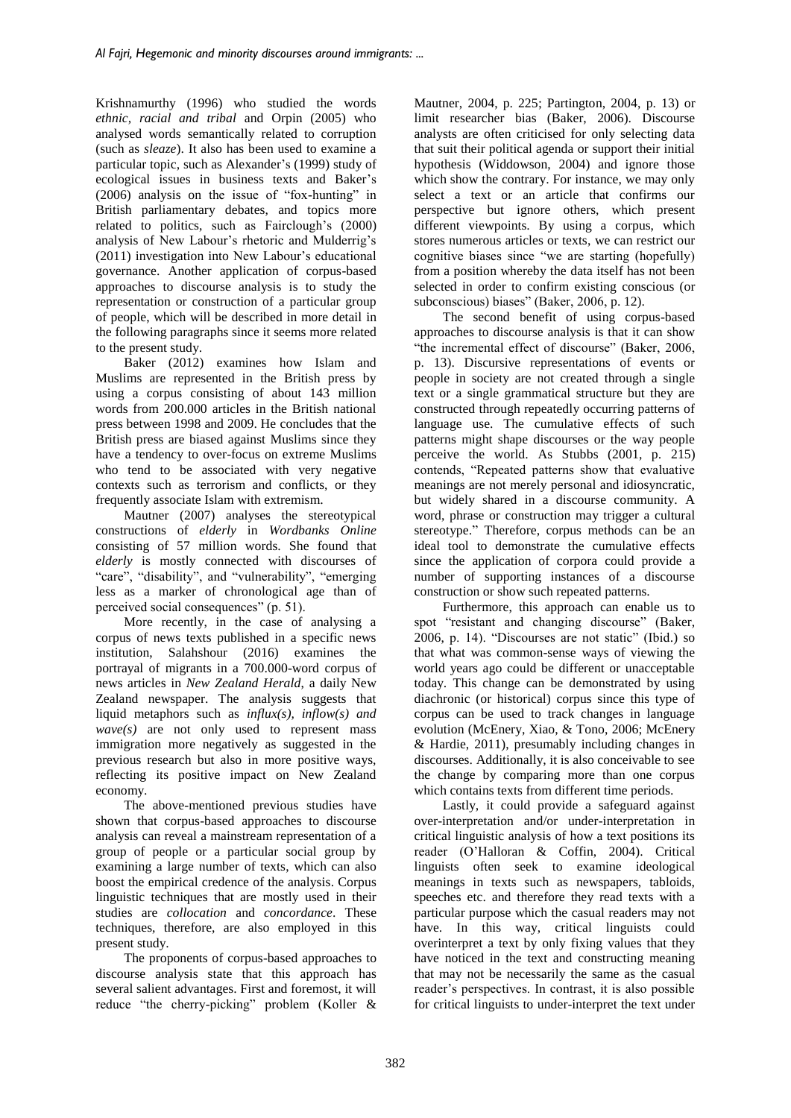Krishnamurthy (1996) who studied the words *ethnic, racial and tribal* and Orpin (2005) who analysed words semantically related to corruption (such as *sleaze*). It also has been used to examine a particular topic, such as Alexander's (1999) study of ecological issues in business texts and Baker's (2006) analysis on the issue of "fox-hunting" in British parliamentary debates, and topics more related to politics, such as Fairclough's (2000) analysis of New Labour's rhetoric and Mulderrig's (2011) investigation into New Labour's educational governance. Another application of corpus-based approaches to discourse analysis is to study the representation or construction of a particular group of people, which will be described in more detail in the following paragraphs since it seems more related to the present study.

Baker (2012) examines how Islam and Muslims are represented in the British press by using a corpus consisting of about 143 million words from 200.000 articles in the British national press between 1998 and 2009. He concludes that the British press are biased against Muslims since they have a tendency to over-focus on extreme Muslims who tend to be associated with very negative contexts such as terrorism and conflicts, or they frequently associate Islam with extremism.

Mautner (2007) analyses the stereotypical constructions of *elderly* in *Wordbanks Online* consisting of 57 million words. She found that *elderly* is mostly connected with discourses of "care", "disability", and "vulnerability", "emerging" less as a marker of chronological age than of perceived social consequences" (p. 51).

More recently, in the case of analysing a corpus of news texts published in a specific news institution, Salahshour (2016) examines the portrayal of migrants in a 700.000-word corpus of news articles in *New Zealand Herald*, a daily New Zealand newspaper. The analysis suggests that liquid metaphors such as *influx(s), inflow(s) and*   $wave(s)$  are not only used to represent mass immigration more negatively as suggested in the previous research but also in more positive ways, reflecting its positive impact on New Zealand economy.

The above-mentioned previous studies have shown that corpus-based approaches to discourse analysis can reveal a mainstream representation of a group of people or a particular social group by examining a large number of texts, which can also boost the empirical credence of the analysis. Corpus linguistic techniques that are mostly used in their studies are *collocation* and *concordance*. These techniques, therefore, are also employed in this present study.

The proponents of corpus-based approaches to discourse analysis state that this approach has several salient advantages. First and foremost, it will reduce "the cherry-picking" problem (Koller & Mautner, 2004, p. 225; Partington, 2004, p. 13) or limit researcher bias (Baker, 2006). Discourse analysts are often criticised for only selecting data that suit their political agenda or support their initial hypothesis (Widdowson, 2004) and ignore those which show the contrary. For instance, we may only select a text or an article that confirms our perspective but ignore others, which present different viewpoints. By using a corpus, which stores numerous articles or texts, we can restrict our cognitive biases since "we are starting (hopefully) from a position whereby the data itself has not been selected in order to confirm existing conscious (or subconscious) biases" (Baker, 2006, p. 12).

The second benefit of using corpus-based approaches to discourse analysis is that it can show "the incremental effect of discourse" (Baker, 2006, p. 13). Discursive representations of events or people in society are not created through a single text or a single grammatical structure but they are constructed through repeatedly occurring patterns of language use. The cumulative effects of such patterns might shape discourses or the way people perceive the world. As Stubbs (2001, p. 215) contends, "Repeated patterns show that evaluative meanings are not merely personal and idiosyncratic, but widely shared in a discourse community. A word, phrase or construction may trigger a cultural stereotype." Therefore, corpus methods can be an ideal tool to demonstrate the cumulative effects since the application of corpora could provide a number of supporting instances of a discourse construction or show such repeated patterns.

Furthermore, this approach can enable us to spot "resistant and changing discourse" (Baker, 2006, p. 14). "Discourses are not static" (Ibid.) so that what was common-sense ways of viewing the world years ago could be different or unacceptable today. This change can be demonstrated by using diachronic (or historical) corpus since this type of corpus can be used to track changes in language evolution (McEnery, Xiao, & Tono, 2006; McEnery & Hardie, 2011), presumably including changes in discourses. Additionally, it is also conceivable to see the change by comparing more than one corpus which contains texts from different time periods.

Lastly, it could provide a safeguard against over-interpretation and/or under-interpretation in critical linguistic analysis of how a text positions its reader (O'Halloran & Coffin, 2004). Critical linguists often seek to examine ideological meanings in texts such as newspapers, tabloids, speeches etc. and therefore they read texts with a particular purpose which the casual readers may not have. In this way, critical linguists could overinterpret a text by only fixing values that they have noticed in the text and constructing meaning that may not be necessarily the same as the casual reader's perspectives. In contrast, it is also possible for critical linguists to under-interpret the text under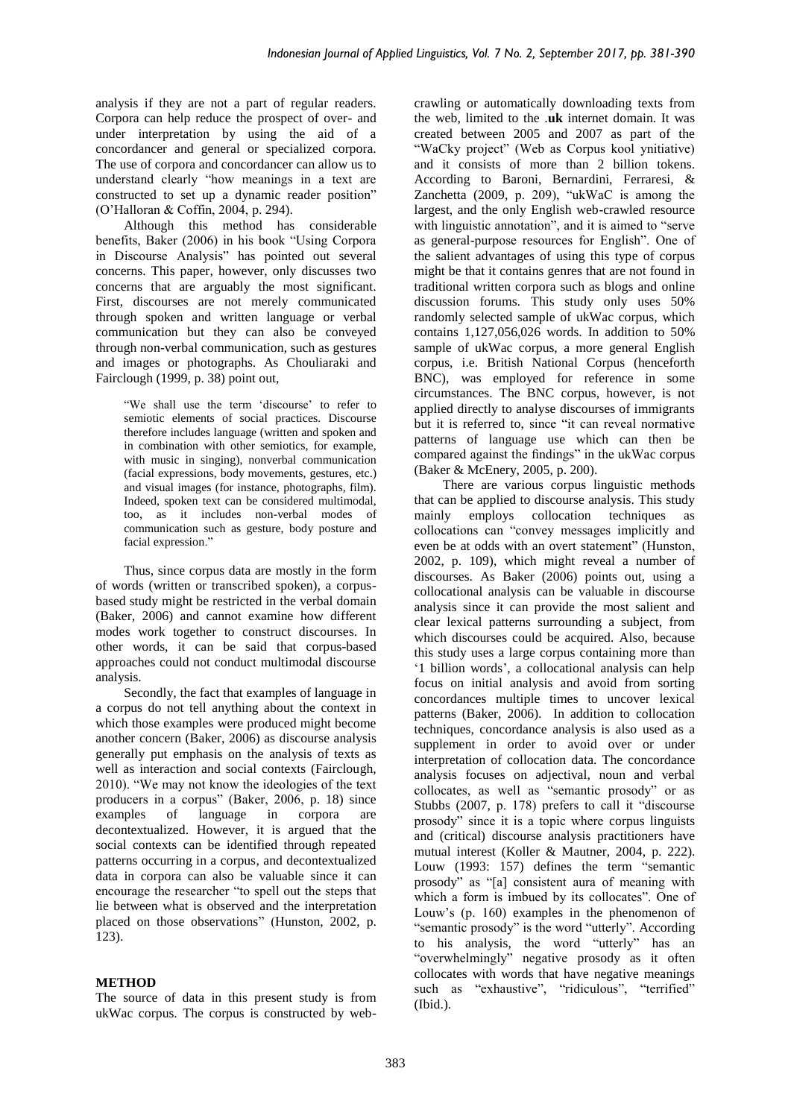analysis if they are not a part of regular readers. Corpora can help reduce the prospect of over- and under interpretation by using the aid of a concordancer and general or specialized corpora. The use of corpora and concordancer can allow us to understand clearly "how meanings in a text are constructed to set up a dynamic reader position" (O'Halloran & Coffin, 2004, p. 294).

Although this method has considerable benefits, Baker (2006) in his book "Using Corpora in Discourse Analysis" has pointed out several concerns. This paper, however, only discusses two concerns that are arguably the most significant. First, discourses are not merely communicated through spoken and written language or verbal communication but they can also be conveyed through non-verbal communication, such as gestures and images or photographs. As Chouliaraki and Fairclough (1999, p. 38) point out,

"We shall use the term 'discourse' to refer to semiotic elements of social practices. Discourse therefore includes language (written and spoken and in combination with other semiotics, for example, with music in singing), nonverbal communication (facial expressions, body movements, gestures, etc.) and visual images (for instance, photographs, film). Indeed, spoken text can be considered multimodal, too, as it includes non-verbal modes of communication such as gesture, body posture and facial expression."

Thus, since corpus data are mostly in the form of words (written or transcribed spoken), a corpusbased study might be restricted in the verbal domain (Baker, 2006) and cannot examine how different modes work together to construct discourses. In other words, it can be said that corpus-based approaches could not conduct multimodal discourse analysis.

Secondly, the fact that examples of language in a corpus do not tell anything about the context in which those examples were produced might become another concern (Baker, 2006) as discourse analysis generally put emphasis on the analysis of texts as well as interaction and social contexts (Fairclough, 2010). "We may not know the ideologies of the text producers in a corpus" (Baker, 2006, p. 18) since examples of language in corpora are decontextualized. However, it is argued that the social contexts can be identified through repeated patterns occurring in a corpus, and decontextualized data in corpora can also be valuable since it can encourage the researcher "to spell out the steps that lie between what is observed and the interpretation placed on those observations" (Hunston, 2002, p. 123).

# **METHOD**

The source of data in this present study is from ukWac corpus. The corpus is constructed by webcrawling or automatically downloading texts from the web, limited to the .**uk** internet domain. It was created between 2005 and 2007 as part of the "WaCky project" (Web as Corpus kool ynitiative) and it consists of more than 2 billion tokens. According to Baroni, Bernardini, Ferraresi, & Zanchetta (2009, p. 209), "ukWaC is among the largest, and the only English web-crawled resource with linguistic annotation", and it is aimed to "serve as general-purpose resources for English". One of the salient advantages of using this type of corpus might be that it contains genres that are not found in traditional written corpora such as blogs and online discussion forums. This study only uses 50% randomly selected sample of ukWac corpus, which contains 1,127,056,026 words. In addition to 50% sample of ukWac corpus, a more general English corpus, i.e. British National Corpus (henceforth BNC), was employed for reference in some circumstances. The BNC corpus, however, is not applied directly to analyse discourses of immigrants but it is referred to, since "it can reveal normative patterns of language use which can then be compared against the findings" in the ukWac corpus (Baker & McEnery, 2005, p. 200).

There are various corpus linguistic methods that can be applied to discourse analysis. This study mainly employs collocation techniques as collocations can "convey messages implicitly and even be at odds with an overt statement" (Hunston, 2002, p. 109), which might reveal a number of discourses. As Baker (2006) points out, using a collocational analysis can be valuable in discourse analysis since it can provide the most salient and clear lexical patterns surrounding a subject, from which discourses could be acquired. Also, because this study uses a large corpus containing more than '1 billion words', a collocational analysis can help focus on initial analysis and avoid from sorting concordances multiple times to uncover lexical patterns (Baker, 2006). In addition to collocation techniques, concordance analysis is also used as a supplement in order to avoid over or under interpretation of collocation data. The concordance analysis focuses on adjectival, noun and verbal collocates, as well as "semantic prosody" or as Stubbs (2007, p. 178) prefers to call it "discourse prosody" since it is a topic where corpus linguists and (critical) discourse analysis practitioners have mutual interest (Koller & Mautner, 2004, p. 222). Louw (1993: 157) defines the term "semantic prosody" as "[a] consistent aura of meaning with which a form is imbued by its collocates". One of Louw's (p. 160) examples in the phenomenon of "semantic prosody" is the word "utterly". According to his analysis, the word "utterly" has an "overwhelmingly" negative prosody as it often collocates with words that have negative meanings such as "exhaustive", "ridiculous", "terrified" (Ibid.).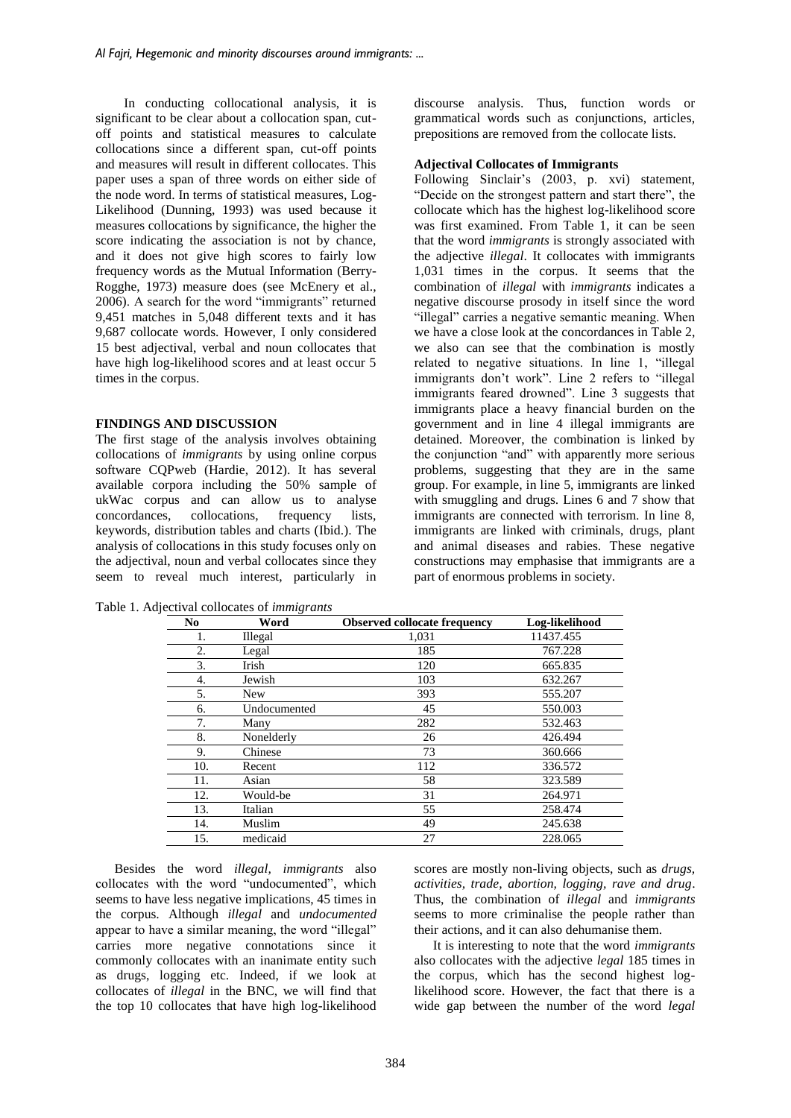In conducting collocational analysis, it is significant to be clear about a collocation span, cutoff points and statistical measures to calculate collocations since a different span, cut-off points and measures will result in different collocates. This paper uses a span of three words on either side of the node word. In terms of statistical measures, Log-Likelihood (Dunning, 1993) was used because it measures collocations by significance, the higher the score indicating the association is not by chance, and it does not give high scores to fairly low frequency words as the Mutual Information (Berry-Rogghe, 1973) measure does (see McEnery et al., 2006). A search for the word "immigrants" returned 9,451 matches in 5,048 different texts and it has 9,687 collocate words. However, I only considered 15 best adjectival, verbal and noun collocates that have high log-likelihood scores and at least occur 5 times in the corpus.

## **FINDINGS AND DISCUSSION**

The first stage of the analysis involves obtaining collocations of *immigrants* by using online corpus software CQPweb (Hardie, 2012). It has several available corpora including the 50% sample of ukWac corpus and can allow us to analyse<br>concordances, collocations, frequency lists, concordances, keywords, distribution tables and charts (Ibid.). The analysis of collocations in this study focuses only on the adjectival, noun and verbal collocates since they seem to reveal much interest, particularly in discourse analysis. Thus, function words or grammatical words such as conjunctions, articles, prepositions are removed from the collocate lists.

### **Adjectival Collocates of Immigrants**

Following Sinclair's (2003, p. xvi) statement, "Decide on the strongest pattern and start there", the collocate which has the highest log-likelihood score was first examined. From Table 1, it can be seen that the word *immigrants* is strongly associated with the adjective *illegal*. It collocates with immigrants 1,031 times in the corpus. It seems that the combination of *illegal* with *immigrants* indicates a negative discourse prosody in itself since the word "illegal" carries a negative semantic meaning. When we have a close look at the concordances in Table 2, we also can see that the combination is mostly related to negative situations. In line 1, "illegal immigrants don't work". Line 2 refers to "illegal immigrants feared drowned". Line 3 suggests that immigrants place a heavy financial burden on the government and in line 4 illegal immigrants are detained. Moreover, the combination is linked by the conjunction "and" with apparently more serious problems, suggesting that they are in the same group. For example, in line 5, immigrants are linked with smuggling and drugs. Lines 6 and 7 show that immigrants are connected with terrorism. In line 8, immigrants are linked with criminals, drugs, plant and animal diseases and rabies. These negative constructions may emphasise that immigrants are a part of enormous problems in society.

Table 1. Adjectival collocates of *immigrants*

| No  | $\check{ }$<br>Word | <b>Observed collocate frequency</b> | Log-likelihood |
|-----|---------------------|-------------------------------------|----------------|
| 1.  | <b>Illegal</b>      | 1,031                               | 11437.455      |
| 2.  | Legal               | 185                                 | 767.228        |
| 3.  | Irish               | 120                                 | 665.835        |
| 4.  | Jewish              | 103                                 | 632.267        |
| 5.  | <b>New</b>          | 393                                 | 555.207        |
| 6.  | Undocumented        | 45                                  | 550.003        |
| 7.  | Many                | 282                                 | 532.463        |
| 8.  | Nonelderly          | 26                                  | 426.494        |
| 9.  | Chinese             | 73                                  | 360.666        |
| 10. | Recent              | 112                                 | 336.572        |
| 11. | Asian               | 58                                  | 323.589        |
| 12. | Would-be            | 31                                  | 264.971        |
| 13. | Italian             | 55                                  | 258.474        |
| 14. | Muslim              | 49                                  | 245.638        |
| 15. | medicaid            | 27                                  | 228.065        |

Besides the word *illegal, immigrants* also collocates with the word "undocumented", which seems to have less negative implications, 45 times in the corpus. Although *illegal* and *undocumented* appear to have a similar meaning, the word "illegal" carries more negative connotations since it commonly collocates with an inanimate entity such as drugs, logging etc. Indeed, if we look at collocates of *illegal* in the BNC, we will find that the top 10 collocates that have high log-likelihood scores are mostly non-living objects, such as *drugs, activities, trade, abortion, logging, rave and drug*. Thus, the combination of *illegal* and *immigrants* seems to more criminalise the people rather than their actions, and it can also dehumanise them.

It is interesting to note that the word *immigrants* also collocates with the adjective *legal* 185 times in the corpus, which has the second highest loglikelihood score. However, the fact that there is a wide gap between the number of the word *legal*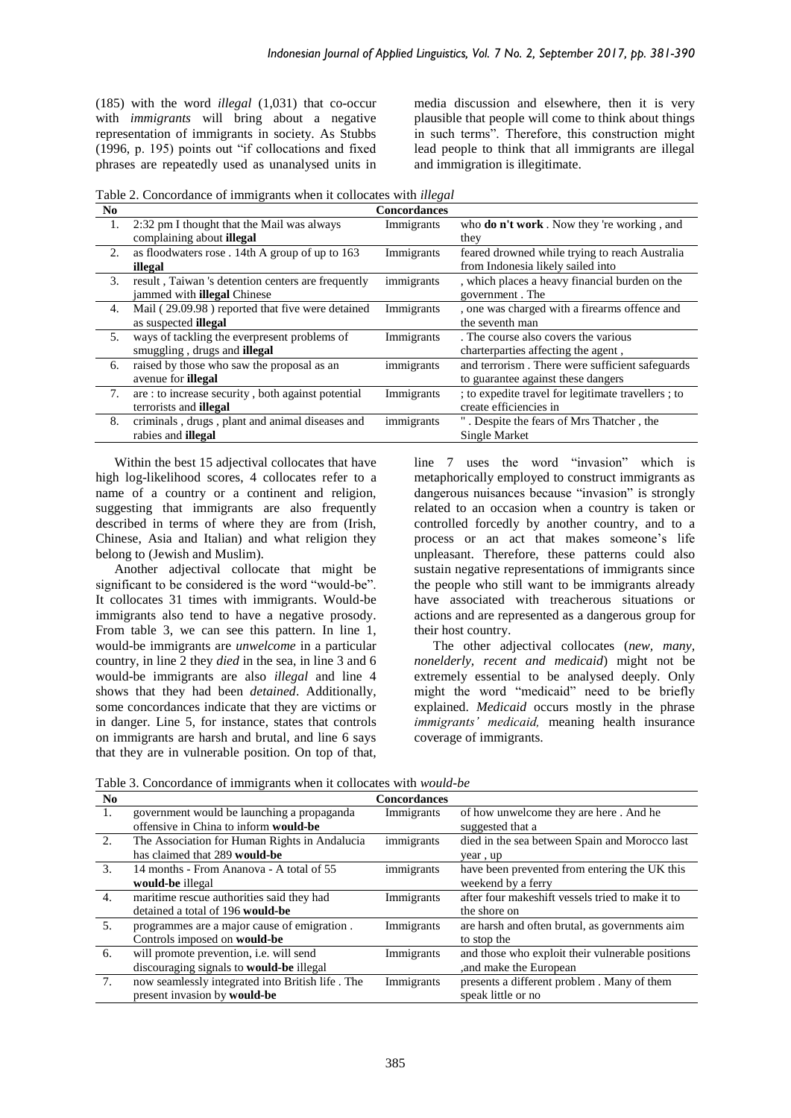(185) with the word *illegal* (1,031) that co-occur with *immigrants* will bring about a negative representation of immigrants in society. As Stubbs (1996, p. 195) points out "if collocations and fixed phrases are repeatedly used as unanalysed units in media discussion and elsewhere, then it is very plausible that people will come to think about things in such terms". Therefore, this construction might lead people to think that all immigrants are illegal and immigration is illegitimate.

Table 2. Concordance of immigrants when it collocates with *illegal*

| N <sub>0</sub> |                                                    | <b>Concordances</b> |                                                    |
|----------------|----------------------------------------------------|---------------------|----------------------------------------------------|
| 1.             | 2:32 pm I thought that the Mail was always         | Immigrants          | who <b>do n't work</b> . Now they 're working, and |
|                | complaining about <b>illegal</b>                   |                     | they                                               |
| 2.             | as floodwaters rose. 14th A group of up to 163     | Immigrants          | feared drowned while trying to reach Australia     |
|                | illegal                                            |                     | from Indonesia likely sailed into                  |
| 3.             | result, Taiwan 's detention centers are frequently | immigrants          | , which places a heavy financial burden on the     |
|                | jammed with <b>illegal</b> Chinese                 |                     | government. The                                    |
| 4.             | Mail (29.09.98) reported that five were detained   | Immigrants          | , one was charged with a firearms offence and      |
|                | as suspected <b>illegal</b>                        |                     | the seventh man                                    |
| 5.             | ways of tackling the everpresent problems of       | Immigrants          | . The course also covers the various               |
|                | smuggling, drugs and <b>illegal</b>                |                     | charterparties affecting the agent,                |
| 6.             | raised by those who saw the proposal as an         | immigrants          | and terrorism. There were sufficient safeguards    |
|                | avenue for <b>illegal</b>                          |                     | to guarantee against these dangers                 |
| 7.             | are : to increase security, both against potential | Immigrants          | ; to expedite travel for legitimate travellers; to |
|                | terrorists and <b>illegal</b>                      |                     | create efficiencies in                             |
| 8.             | criminals, drugs, plant and animal diseases and    | immigrants          | . Despite the fears of Mrs Thatcher, the           |
|                | rabies and <b>illegal</b>                          |                     | Single Market                                      |

Within the best 15 adjectival collocates that have high log-likelihood scores, 4 collocates refer to a name of a country or a continent and religion, suggesting that immigrants are also frequently described in terms of where they are from (Irish, Chinese, Asia and Italian) and what religion they belong to (Jewish and Muslim).

Another adjectival collocate that might be significant to be considered is the word "would-be". It collocates 31 times with immigrants. Would-be immigrants also tend to have a negative prosody. From table 3, we can see this pattern. In line 1, would-be immigrants are *unwelcome* in a particular country, in line 2 they *died* in the sea, in line 3 and 6 would-be immigrants are also *illegal* and line 4 shows that they had been *detained*. Additionally, some concordances indicate that they are victims or in danger. Line 5, for instance, states that controls on immigrants are harsh and brutal, and line 6 says that they are in vulnerable position. On top of that, line 7 uses the word "invasion" which is metaphorically employed to construct immigrants as dangerous nuisances because "invasion" is strongly related to an occasion when a country is taken or controlled forcedly by another country, and to a process or an act that makes someone's life unpleasant. Therefore, these patterns could also sustain negative representations of immigrants since the people who still want to be immigrants already have associated with treacherous situations or actions and are represented as a dangerous group for their host country.

The other adjectival collocates (*new, many, nonelderly, recent and medicaid*) might not be extremely essential to be analysed deeply. Only might the word "medicaid" need to be briefly explained. *Medicaid* occurs mostly in the phrase *immigrants' medicaid,* meaning health insurance coverage of immigrants.

Table 3. Concordance of immigrants when it collocates with *would-be*

| N <sub>0</sub> |                                                  | <b>Concordances</b> |                                                  |
|----------------|--------------------------------------------------|---------------------|--------------------------------------------------|
| -1.            | government would be launching a propaganda       | Immigrants          | of how unwelcome they are here. And he           |
|                | offensive in China to inform would-be            |                     | suggested that a                                 |
| 2.             | The Association for Human Rights in Andalucia    | immigrants          | died in the sea between Spain and Morocco last   |
|                | has claimed that 289 would-be                    |                     | year, up                                         |
| 3.             | 14 months - From Ananova - A total of 55         | immigrants          | have been prevented from entering the UK this    |
|                | would-be illegal                                 |                     | weekend by a ferry                               |
| 4.             | maritime rescue authorities said they had        | Immigrants          | after four makeshift vessels tried to make it to |
|                | detained a total of 196 would-be                 |                     | the shore on                                     |
| 5 <sub>1</sub> | programmes are a major cause of emigration.      | Immigrants          | are harsh and often brutal, as governments aim   |
|                | Controls imposed on <b>would-be</b>              |                     | to stop the                                      |
| 6.             | will promote prevention, i.e. will send          | Immigrants          | and those who exploit their vulnerable positions |
|                | discouraging signals to would-be illegal         |                     | , and make the European                          |
| 7.             | now seamlessly integrated into British life. The | Immigrants          | presents a different problem. Many of them       |
|                | present invasion by <b>would-be</b>              |                     | speak little or no                               |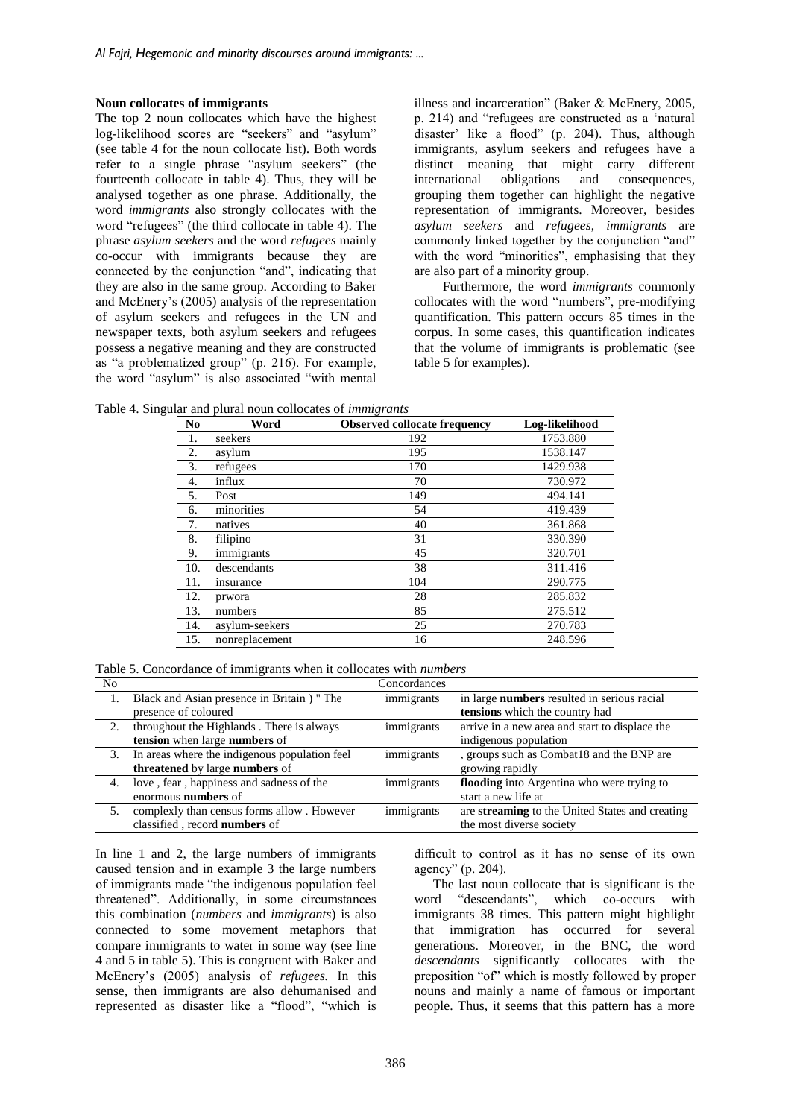## **Noun collocates of immigrants**

The top 2 noun collocates which have the highest log-likelihood scores are "seekers" and "asylum" (see table 4 for the noun collocate list). Both words refer to a single phrase "asylum seekers" (the fourteenth collocate in table 4). Thus, they will be analysed together as one phrase. Additionally, the word *immigrants* also strongly collocates with the word "refugees" (the third collocate in table 4). The phrase *asylum seekers* and the word *refugees* mainly co-occur with immigrants because they are connected by the conjunction "and", indicating that they are also in the same group. According to Baker and McEnery's (2005) analysis of the representation of asylum seekers and refugees in the UN and newspaper texts, both asylum seekers and refugees possess a negative meaning and they are constructed as "a problematized group" (p. 216). For example, the word "asylum" is also associated "with mental illness and incarceration" (Baker & McEnery, 2005, p. 214) and "refugees are constructed as a 'natural disaster' like a flood" (p. 204). Thus, although immigrants, asylum seekers and refugees have a distinct meaning that might carry different international obligations and consequences, international obligations and consequences, grouping them together can highlight the negative representation of immigrants. Moreover, besides *asylum seekers* and *refugees*, *immigrants* are commonly linked together by the conjunction "and" with the word "minorities", emphasising that they are also part of a minority group.

Furthermore, the word *immigrants* commonly collocates with the word "numbers", pre-modifying quantification. This pattern occurs 85 times in the corpus. In some cases, this quantification indicates that the volume of immigrants is problematic (see table 5 for examples).

Table 4. Singular and plural noun collocates of *immigrants*

| N <sub>0</sub> | Word            | <b>Observed collocate frequency</b> | Log-likelihood |
|----------------|-----------------|-------------------------------------|----------------|
|                | seekers         | 192                                 | 1753.880       |
| 2.             | asylum          | 195                                 | 1538.147       |
| 3.             | refugees        | 170                                 | 1429.938       |
| 4.             | influx          | 70                                  | 730.972        |
| 5.             | Post            | 149                                 | 494.141        |
| 6.             | minorities      | 54                                  | 419.439        |
| 7.             | natives         | 40                                  | 361.868        |
| 8.             | filipino        | 31                                  | 330.390        |
| 9.             | immigrants      | 45                                  | 320.701        |
| 10.            | descendants     | 38                                  | 311.416        |
| 11.            | <i>nsurance</i> | 104                                 | 290.775        |
| 12.            | prwora          | 28                                  | 285.832        |
| 13.            | numbers         | 85                                  | 275.512        |
| 14.            | asylum-seekers  | 25                                  | 270.783        |
| 15.            | nonreplacement  | 16                                  | 248.596        |

Table 5. Concordance of immigrants when it collocates with *numbers*

| N <sub>0</sub> |                                               | Concordances |                                                 |
|----------------|-----------------------------------------------|--------------|-------------------------------------------------|
|                | Black and Asian presence in Britain ) " The   | immigrants   | in large numbers resulted in serious racial     |
|                | presence of coloured                          |              | tensions which the country had                  |
| 2.             | throughout the Highlands. There is always     | immigrants   | arrive in a new area and start to displace the  |
|                | tension when large numbers of                 |              | indigenous population                           |
| 3.             | In areas where the indigenous population feel | immigrants   | , groups such as Combat18 and the BNP are       |
|                | threatened by large numbers of                |              | growing rapidly                                 |
| 4.             | love, fear, happiness and sadness of the      | immigrants   | flooding into Argentina who were trying to      |
|                | enormous numbers of                           |              | start a new life at                             |
| 5.             | complexly than census forms allow . However   | immigrants   | are streaming to the United States and creating |
|                | classified, record numbers of                 |              | the most diverse society                        |

In line 1 and 2, the large numbers of immigrants caused tension and in example 3 the large numbers of immigrants made "the indigenous population feel threatened". Additionally, in some circumstances this combination (*numbers* and *immigrants*) is also connected to some movement metaphors that compare immigrants to water in some way (see line 4 and 5 in table 5). This is congruent with Baker and McEnery's (2005) analysis of *refugees.* In this sense, then immigrants are also dehumanised and represented as disaster like a "flood", "which is

difficult to control as it has no sense of its own agency" (p. 204).

The last noun collocate that is significant is the word "descendants", which co-occurs with immigrants 38 times. This pattern might highlight that immigration has occurred for several generations. Moreover, in the BNC, the word *descendants* significantly collocates with the preposition "of" which is mostly followed by proper nouns and mainly a name of famous or important people. Thus, it seems that this pattern has a more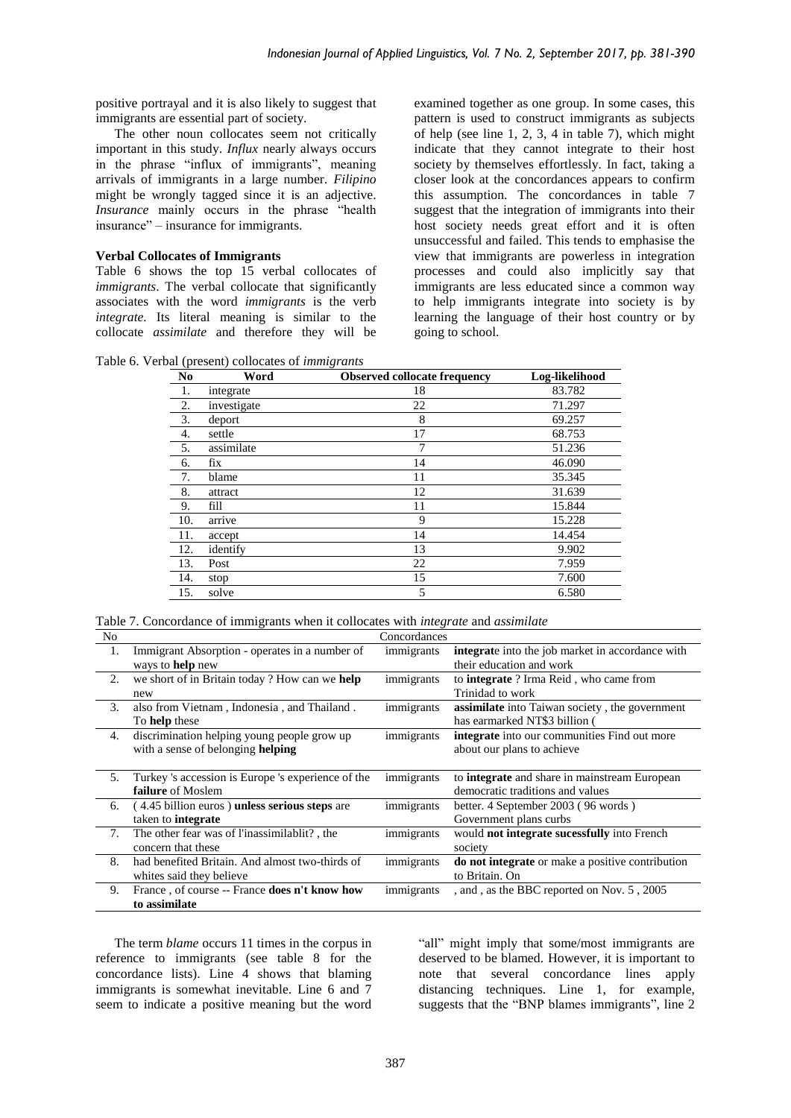positive portrayal and it is also likely to suggest that immigrants are essential part of society.

The other noun collocates seem not critically important in this study. *Influx* nearly always occurs in the phrase "influx of immigrants", meaning arrivals of immigrants in a large number. *Filipino* might be wrongly tagged since it is an adjective. *Insurance* mainly occurs in the phrase "health insurance" – insurance for immigrants.

## **Verbal Collocates of Immigrants**

Table 6 shows the top 15 verbal collocates of *immigrants*. The verbal collocate that significantly associates with the word *immigrants* is the verb *integrate.* Its literal meaning is similar to the collocate *assimilate* and therefore they will be examined together as one group. In some cases, this pattern is used to construct immigrants as subjects of help (see line 1, 2, 3, 4 in table 7), which might indicate that they cannot integrate to their host society by themselves effortlessly. In fact, taking a closer look at the concordances appears to confirm this assumption. The concordances in table 7 suggest that the integration of immigrants into their host society needs great effort and it is often unsuccessful and failed. This tends to emphasise the view that immigrants are powerless in integration processes and could also implicitly say that immigrants are less educated since a common way to help immigrants integrate into society is by learning the language of their host country or by going to school.

Table 6. Verbal (present) collocates of *immigrants*

| N <sub>0</sub> | Word        | <b>Observed collocate frequency</b> | Log-likelihood |
|----------------|-------------|-------------------------------------|----------------|
| 1.             | integrate   | 18                                  | 83.782         |
| 2.             | investigate | 22                                  | 71.297         |
| 3.             | deport      | 8                                   | 69.257         |
| 4.             | settle      | 17                                  | 68.753         |
| 5.             | assimilate  | 7                                   | 51.236         |
| 6.             | fix         | 14                                  | 46.090         |
| 7.             | blame       | 11                                  | 35.345         |
| 8.             | attract     | 12                                  | 31.639         |
| 9.             | fill        | 11                                  | 15.844         |
| 10.            | arrive      | 9                                   | 15.228         |
| 11.            | accept      | 14                                  | 14.454         |
| 12.            | identify    | 13                                  | 9.902          |
| 13.            | Post        | 22                                  | 7.959          |
| 14.            | stop        | 15                                  | 7.600          |
| 15.            | solve       | 5                                   | 6.580          |

Table 7. Concordance of immigrants when it collocates with *integrate* and *assimilate*

| No |                                                    | Concordances |                                                         |
|----|----------------------------------------------------|--------------|---------------------------------------------------------|
| 1. | Immigrant Absorption - operates in a number of     | immigrants   | <b>integrate</b> into the job market in accordance with |
|    | ways to help new                                   |              | their education and work                                |
| 2. | we short of in Britain today? How can we help      | immigrants   | to <b>integrate</b> ? Irma Reid, who came from          |
|    | new                                                |              | Trinidad to work                                        |
| 3. | also from Vietnam, Indonesia, and Thailand.        | immigrants   | <b>assimilate</b> into Taiwan society, the government   |
|    | To <b>help</b> these                               |              | has earmarked NT\$3 billion (                           |
| 4. | discrimination helping young people grow up        | immigrants   | <b>integrate</b> into our communities Find out more     |
|    | with a sense of belonging helping                  |              | about our plans to achieve                              |
|    |                                                    |              |                                                         |
|    |                                                    |              |                                                         |
| 5. | Turkey 's accession is Europe 's experience of the | immigrants   | to <b>integrate</b> and share in mainstream European    |
|    | failure of Moslem                                  |              | democratic traditions and values                        |
| 6. | (4.45 billion euros) unless serious steps are      | immigrants   | better. 4 September 2003 (96 words)                     |
|    | taken to <b>integrate</b>                          |              | Government plans curbs                                  |
| 7. | The other fear was of l'inassimilablit?, the       | immigrants   | would not integrate sucessfully into French             |
|    | concern that these                                 |              | society                                                 |
| 8. | had benefited Britain. And almost two-thirds of    | immigrants   | <b>do not integrate</b> or make a positive contribution |
|    | whites said they believe                           |              | to Britain. On                                          |
| 9. | France, of course -- France does n't know how      | immigrants   | , and , as the BBC reported on Nov. 5, 2005             |

The term *blame* occurs 11 times in the corpus in reference to immigrants (see table 8 for the concordance lists). Line 4 shows that blaming immigrants is somewhat inevitable. Line 6 and 7 seem to indicate a positive meaning but the word

"all" might imply that some/most immigrants are deserved to be blamed. However, it is important to note that several concordance lines apply distancing techniques. Line 1, for example, suggests that the "BNP blames immigrants", line 2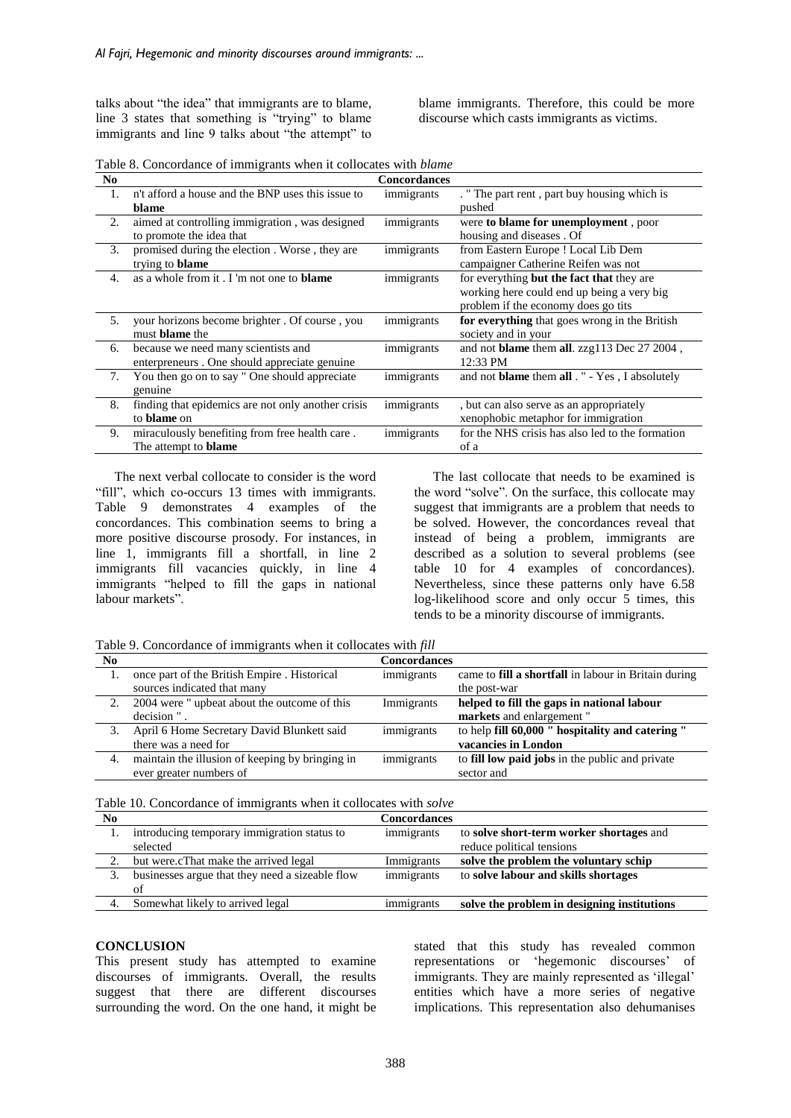talks about "the idea" that immigrants are to blame, line 3 states that something is "trying" to blame immigrants and line 9 talks about "the attempt" to

blame immigrants. Therefore, this could be more discourse which casts immigrants as victims.

Table 8. Concordance of immigrants when it collocates with *blame*

| N <sub>0</sub> |                                                    | <b>Concordances</b> |                                                              |
|----------------|----------------------------------------------------|---------------------|--------------------------------------------------------------|
| 1.             | n't afford a house and the BNP uses this issue to  | immigrants          | . " The part rent, part buy housing which is                 |
|                | blame                                              |                     | pushed                                                       |
| 2.             | aimed at controlling immigration, was designed     | immigrants          | were to blame for unemployment, poor                         |
|                | to promote the idea that                           |                     | housing and diseases . Of                                    |
| 3.             | promised during the election. Worse, they are      | immigrants          | from Eastern Europe ! Local Lib Dem                          |
|                | trying to <b>blame</b>                             |                     | campaigner Catherine Reifen was not                          |
| 4.             | as a whole from it. I'm not one to <b>blame</b>    | immigrants          | for everything but the fact that they are                    |
|                |                                                    |                     | working here could end up being a very big                   |
|                |                                                    |                     | problem if the economy does go tits                          |
| 5.             | your horizons become brighter. Of course, you      | immigrants          | for everything that goes wrong in the British                |
|                | must <b>blame</b> the                              |                     | society and in your                                          |
| 6.             | because we need many scientists and                | immigrants          | and not blame them all. zzg113 Dec 27 2004,                  |
|                | enterpreneurs. One should appreciate genuine       |                     | 12:33 PM                                                     |
| 7.             | You then go on to say " One should appreciate      | immigrants          | and not <b>blame</b> them <b>all</b> . " - Yes, I absolutely |
|                | genuine                                            |                     |                                                              |
| 8.             | finding that epidemics are not only another crisis | immigrants          | , but can also serve as an appropriately                     |
|                | to <b>blame</b> on                                 |                     | xenophobic metaphor for immigration                          |
| 9.             | miraculously benefiting from free health care.     | immigrants          | for the NHS crisis has also led to the formation             |
|                | The attempt to <b>blame</b>                        |                     | of a                                                         |

The next verbal collocate to consider is the word "fill", which co-occurs 13 times with immigrants. Table 9 demonstrates 4 examples of the concordances. This combination seems to bring a more positive discourse prosody. For instances, in line 1, immigrants fill a shortfall, in line 2 immigrants fill vacancies quickly, in line 4 immigrants "helped to fill the gaps in national labour markets".

The last collocate that needs to be examined is the word "solve". On the surface, this collocate may suggest that immigrants are a problem that needs to be solved. However, the concordances reveal that instead of being a problem, immigrants are described as a solution to several problems (see table 10 for 4 examples of concordances). Nevertheless, since these patterns only have 6.58 log-likelihood score and only occur 5 times, this tends to be a minority discourse of immigrants.

Table 9. Concordance of immigrants when it collocates with *fill*

| N <sub>0</sub> |                                                 | <b>Concordances</b> |                                                             |
|----------------|-------------------------------------------------|---------------------|-------------------------------------------------------------|
|                | once part of the British Empire. Historical     | immigrants          | came to <b>fill a shortfall</b> in labour in Britain during |
|                | sources indicated that many                     |                     | the post-war                                                |
| 2.             | 2004 were " upbeat about the outcome of this    | Immigrants          | helped to fill the gaps in national labour                  |
|                | decision"                                       |                     | markets and enlargement"                                    |
|                | April 6 Home Secretary David Blunkett said      | immigrants          | to help fill 60,000 " hospitality and catering "            |
|                | there was a need for                            |                     | vacancies in London                                         |
| 4.             | maintain the illusion of keeping by bringing in | immigrants          | to <b>fill low paid jobs</b> in the public and private      |
|                | ever greater numbers of                         |                     | sector and                                                  |
|                |                                                 |                     |                                                             |

| Table 10. Concordance of immigrants when it collocates with solve |  |
|-------------------------------------------------------------------|--|
|-------------------------------------------------------------------|--|

| No |                                                 | Concordances |                                             |
|----|-------------------------------------------------|--------------|---------------------------------------------|
|    | introducing temporary immigration status to     | immigrants   | to solve short-term worker shortages and    |
|    | selected                                        |              | reduce political tensions                   |
|    | but were.cThat make the arrived legal           | Immigrants   | solve the problem the voluntary schip       |
|    | businesses argue that they need a sizeable flow | immigrants   | to solve labour and skills shortages        |
|    | of                                              |              |                                             |
|    | Somewhat likely to arrived legal                | immigrants   | solve the problem in designing institutions |

#### **CONCLUSION**

This present study has attempted to examine discourses of immigrants. Overall, the results suggest that there are different discourses surrounding the word. On the one hand, it might be

stated that this study has revealed common representations or 'hegemonic discourses' of immigrants. They are mainly represented as 'illegal' entities which have a more series of negative implications. This representation also dehumanises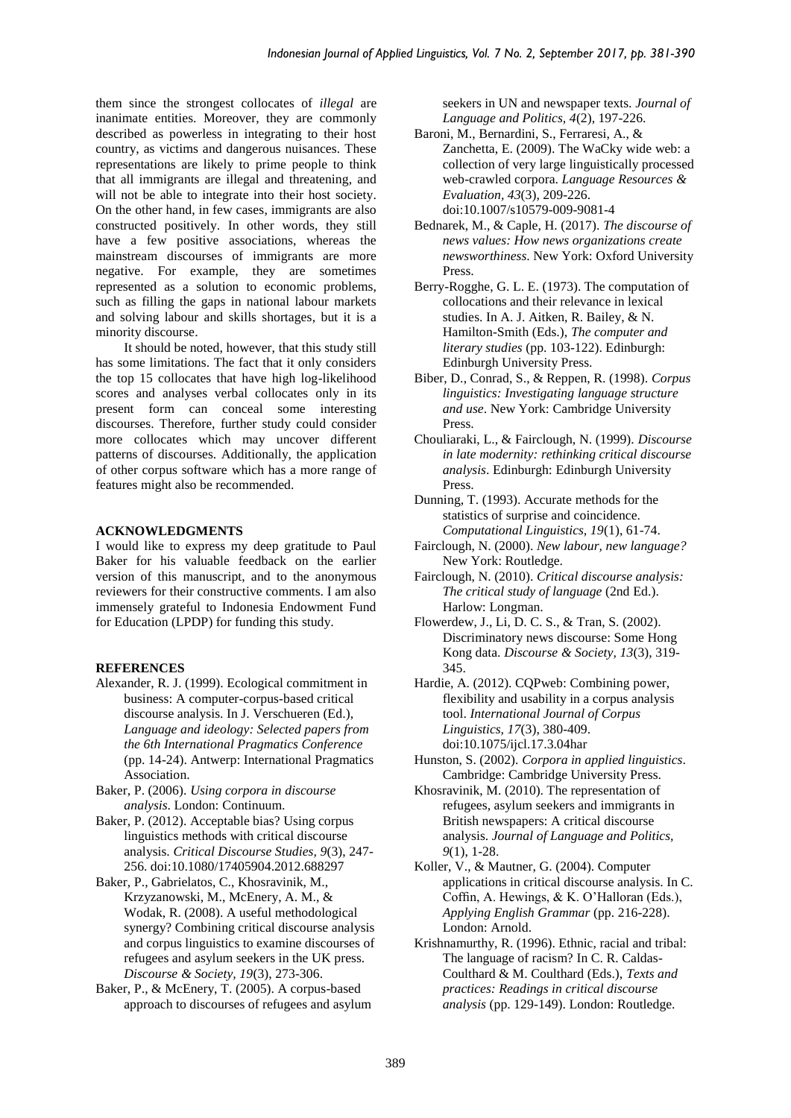them since the strongest collocates of *illegal* are inanimate entities. Moreover, they are commonly described as powerless in integrating to their host country, as victims and dangerous nuisances. These representations are likely to prime people to think that all immigrants are illegal and threatening, and will not be able to integrate into their host society. On the other hand, in few cases, immigrants are also constructed positively. In other words, they still have a few positive associations, whereas the mainstream discourses of immigrants are more negative. For example, they are sometimes represented as a solution to economic problems, such as filling the gaps in national labour markets and solving labour and skills shortages, but it is a minority discourse.

It should be noted, however, that this study still has some limitations. The fact that it only considers the top 15 collocates that have high log-likelihood scores and analyses verbal collocates only in its present form can conceal some interesting discourses. Therefore, further study could consider more collocates which may uncover different patterns of discourses. Additionally, the application of other corpus software which has a more range of features might also be recommended.

# **ACKNOWLEDGMENTS**

I would like to express my deep gratitude to Paul Baker for his valuable feedback on the earlier version of this manuscript, and to the anonymous reviewers for their constructive comments. I am also immensely grateful to Indonesia Endowment Fund for Education (LPDP) for funding this study.

# **REFERENCES**

- Alexander, R. J. (1999). Ecological commitment in business: A computer-corpus-based critical discourse analysis. In J. Verschueren (Ed.), *Language and ideology: Selected papers from the 6th International Pragmatics Conference* (pp. 14-24). Antwerp: International Pragmatics Association.
- Baker, P. (2006). *Using corpora in discourse analysis*. London: Continuum.
- Baker, P. (2012). Acceptable bias? Using corpus linguistics methods with critical discourse analysis. *Critical Discourse Studies, 9*(3), 247- 256. doi:10.1080/17405904.2012.688297
- Baker, P., Gabrielatos, C., Khosravinik, M., Krzyzanowski, M., McEnery, A. M., & Wodak, R. (2008). A useful methodological synergy? Combining critical discourse analysis and corpus linguistics to examine discourses of refugees and asylum seekers in the UK press. *Discourse & Society, 19*(3), 273-306.
- Baker, P., & McEnery, T. (2005). A corpus-based approach to discourses of refugees and asylum

seekers in UN and newspaper texts. *Journal of Language and Politics, 4*(2), 197-226.

- Baroni, M., Bernardini, S., Ferraresi, A., & Zanchetta, E. (2009). The WaCky wide web: a collection of very large linguistically processed web-crawled corpora. *Language Resources & Evaluation, 43*(3), 209-226. doi:10.1007/s10579-009-9081-4
- Bednarek, M., & Caple, H. (2017). *The discourse of news values: How news organizations create newsworthiness*. New York: Oxford University Press.
- Berry-Rogghe, G. L. E. (1973). The computation of collocations and their relevance in lexical studies. In A. J. Aitken, R. Bailey, & N. Hamilton-Smith (Eds.), *The computer and literary studies* (pp. 103-122). Edinburgh: Edinburgh University Press.
- Biber, D., Conrad, S., & Reppen, R. (1998). *Corpus linguistics: Investigating language structure and use*. New York: Cambridge University Press.
- Chouliaraki, L., & Fairclough, N. (1999). *Discourse in late modernity: rethinking critical discourse analysis*. Edinburgh: Edinburgh University Press.
- Dunning, T. (1993). Accurate methods for the statistics of surprise and coincidence. *Computational Linguistics, 19*(1), 61-74.
- Fairclough, N. (2000). *New labour, new language?* New York: Routledge.
- Fairclough, N. (2010). *Critical discourse analysis: The critical study of language* (2nd Ed.). Harlow: Longman.
- Flowerdew, J., Li, D. C. S., & Tran, S. (2002). Discriminatory news discourse: Some Hong Kong data. *Discourse & Society, 13*(3), 319- 345.
- Hardie, A. (2012). CQPweb: Combining power, flexibility and usability in a corpus analysis tool. *International Journal of Corpus Linguistics, 17*(3), 380-409. doi:10.1075/ijcl.17.3.04har
- Hunston, S. (2002). *Corpora in applied linguistics*. Cambridge: Cambridge University Press.
- Khosravinik, M. (2010). The representation of refugees, asylum seekers and immigrants in British newspapers: A critical discourse analysis. *Journal of Language and Politics, 9*(1), 1-28.
- Koller, V., & Mautner, G. (2004). Computer applications in critical discourse analysis. In C. Coffin, A. Hewings, & K. O'Halloran (Eds.), *Applying English Grammar* (pp. 216-228). London: Arnold.
- Krishnamurthy, R. (1996). Ethnic, racial and tribal: The language of racism? In C. R. Caldas-Coulthard & M. Coulthard (Eds.), *Texts and practices: Readings in critical discourse analysis* (pp. 129-149). London: Routledge.